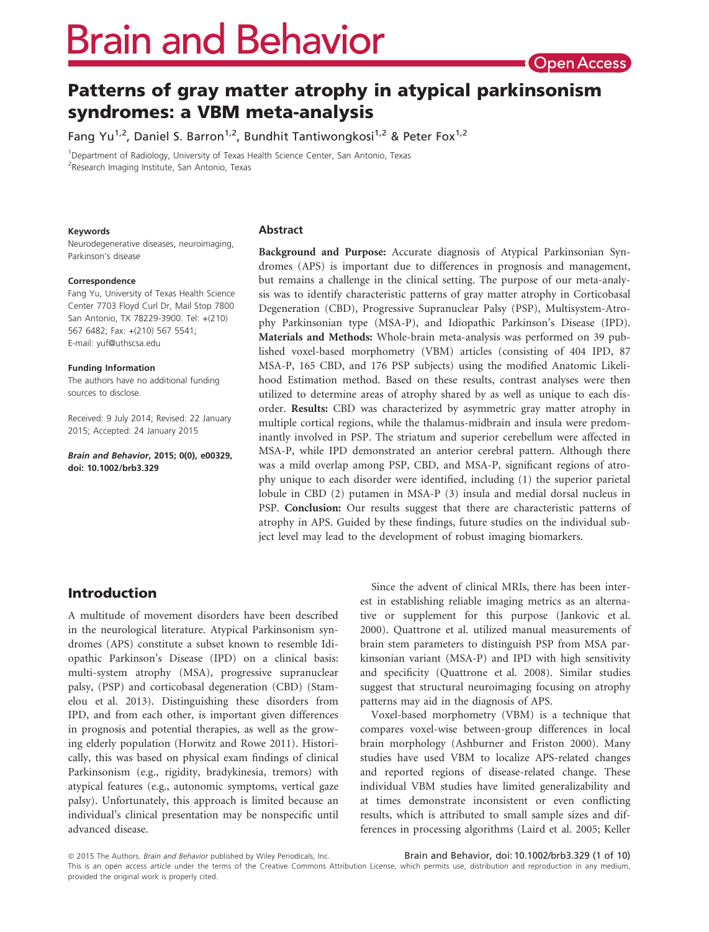# **Brain and Behavior**

## Patterns of gray matter atrophy in atypical parkinsonism syndromes: a VBM meta-analysis

Fang Yu<sup>1,2</sup>, Daniel S. Barron<sup>1,2</sup>, Bundhit Tantiwongkosi<sup>1,2</sup> & Peter Fox<sup>1,2</sup>

<sup>1</sup>Department of Radiology, University of Texas Health Science Center, San Antonio, Texas <sup>2</sup>Research Imaging Institute, San Antonio, Texas

#### Keywords

Neurodegenerative diseases, neuroimaging, Parkinson's disease

#### Correspondence

Fang Yu, University of Texas Health Science Center 7703 Floyd Curl Dr, Mail Stop 7800 San Antonio, TX 78229-3900. Tel: +(210) 567 6482; Fax: +(210) 567 5541; E-mail: yuf@uthscsa.edu

#### Funding Information

The authors have no additional funding sources to disclose.

Received: 9 July 2014; Revised: 22 January 2015; Accepted: 24 January 2015

Brain and Behavior, 2015; 0(0), e00329, doi: 10.1002/brb3.329

#### Abstract

Background and Purpose: Accurate diagnosis of Atypical Parkinsonian Syndromes (APS) is important due to differences in prognosis and management, but remains a challenge in the clinical setting. The purpose of our meta-analysis was to identify characteristic patterns of gray matter atrophy in Corticobasal Degeneration (CBD), Progressive Supranuclear Palsy (PSP), Multisystem-Atrophy Parkinsonian type (MSA-P), and Idiopathic Parkinson's Disease (IPD). Materials and Methods: Whole-brain meta-analysis was performed on 39 published voxel-based morphometry (VBM) articles (consisting of 404 IPD, 87 MSA-P, 165 CBD, and 176 PSP subjects) using the modified Anatomic Likelihood Estimation method. Based on these results, contrast analyses were then utilized to determine areas of atrophy shared by as well as unique to each disorder. Results: CBD was characterized by asymmetric gray matter atrophy in multiple cortical regions, while the thalamus-midbrain and insula were predominantly involved in PSP. The striatum and superior cerebellum were affected in MSA-P, while IPD demonstrated an anterior cerebral pattern. Although there was a mild overlap among PSP, CBD, and MSA-P, significant regions of atrophy unique to each disorder were identified, including (1) the superior parietal lobule in CBD (2) putamen in MSA-P (3) insula and medial dorsal nucleus in PSP. Conclusion: Our results suggest that there are characteristic patterns of atrophy in APS. Guided by these findings, future studies on the individual subject level may lead to the development of robust imaging biomarkers.

## Introduction

A multitude of movement disorders have been described in the neurological literature. Atypical Parkinsonism syndromes (APS) constitute a subset known to resemble Idiopathic Parkinson's Disease (IPD) on a clinical basis: multi-system atrophy (MSA), progressive supranuclear palsy, (PSP) and corticobasal degeneration (CBD) (Stamelou et al. 2013). Distinguishing these disorders from IPD, and from each other, is important given differences in prognosis and potential therapies, as well as the growing elderly population (Horwitz and Rowe 2011). Historically, this was based on physical exam findings of clinical Parkinsonism (e.g., rigidity, bradykinesia, tremors) with atypical features (e.g., autonomic symptoms, vertical gaze palsy). Unfortunately, this approach is limited because an individual's clinical presentation may be nonspecific until advanced disease.

Since the advent of clinical MRIs, there has been interest in establishing reliable imaging metrics as an alternative or supplement for this purpose (Jankovic et al. 2000). Quattrone et al. utilized manual measurements of brain stem parameters to distinguish PSP from MSA parkinsonian variant (MSA-P) and IPD with high sensitivity and specificity (Quattrone et al. 2008). Similar studies suggest that structural neuroimaging focusing on atrophy patterns may aid in the diagnosis of APS.

Voxel-based morphometry (VBM) is a technique that compares voxel-wise between-group differences in local brain morphology (Ashburner and Friston 2000). Many studies have used VBM to localize APS-related changes and reported regions of disease-related change. These individual VBM studies have limited generalizability and at times demonstrate inconsistent or even conflicting results, which is attributed to small sample sizes and differences in processing algorithms (Laird et al. 2005; Keller

© 2015 The Authors. Brain and Behavior published by Wiley Periodicals, Inc.

This is an open access article under the terms of the Creative Commons Attribution License, which permits use, distribution and reproduction in any medium, provided the original work is properly cited.

Brain and Behavior, doi: 10.1002/brb3.329 (1 of 10)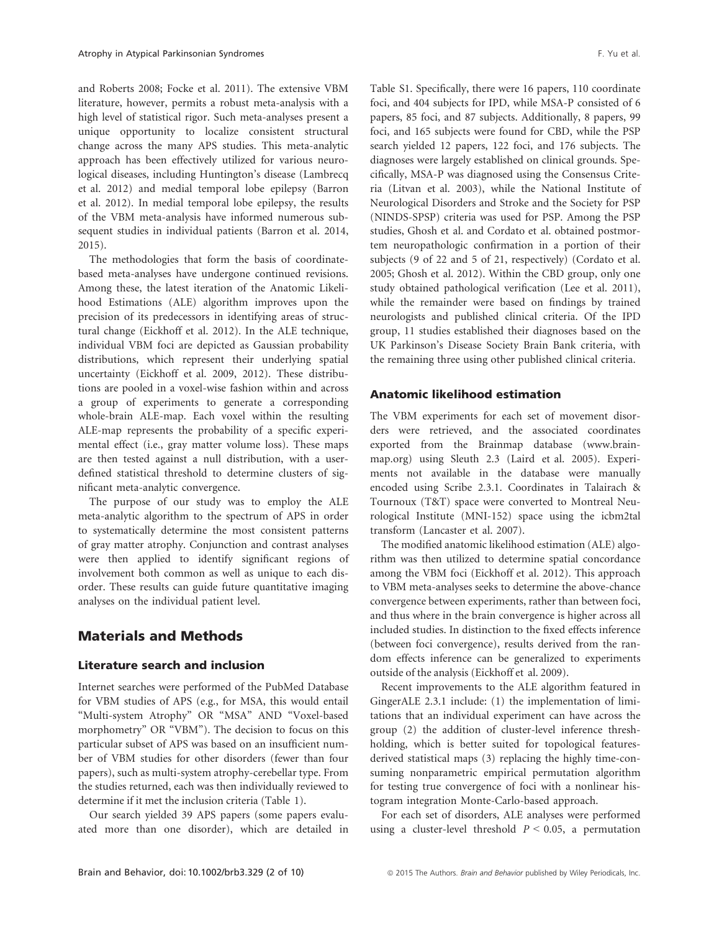and Roberts 2008; Focke et al. 2011). The extensive VBM literature, however, permits a robust meta-analysis with a high level of statistical rigor. Such meta-analyses present a unique opportunity to localize consistent structural change across the many APS studies. This meta-analytic approach has been effectively utilized for various neurological diseases, including Huntington's disease (Lambrecq et al. 2012) and medial temporal lobe epilepsy (Barron et al. 2012). In medial temporal lobe epilepsy, the results of the VBM meta-analysis have informed numerous subsequent studies in individual patients (Barron et al. 2014, 2015).

The methodologies that form the basis of coordinatebased meta-analyses have undergone continued revisions. Among these, the latest iteration of the Anatomic Likelihood Estimations (ALE) algorithm improves upon the precision of its predecessors in identifying areas of structural change (Eickhoff et al. 2012). In the ALE technique, individual VBM foci are depicted as Gaussian probability distributions, which represent their underlying spatial uncertainty (Eickhoff et al. 2009, 2012). These distributions are pooled in a voxel-wise fashion within and across a group of experiments to generate a corresponding whole-brain ALE-map. Each voxel within the resulting ALE-map represents the probability of a specific experimental effect (i.e., gray matter volume loss). These maps are then tested against a null distribution, with a userdefined statistical threshold to determine clusters of significant meta-analytic convergence.

The purpose of our study was to employ the ALE meta-analytic algorithm to the spectrum of APS in order to systematically determine the most consistent patterns of gray matter atrophy. Conjunction and contrast analyses were then applied to identify significant regions of involvement both common as well as unique to each disorder. These results can guide future quantitative imaging analyses on the individual patient level.

## Materials and Methods

## Literature search and inclusion

Internet searches were performed of the PubMed Database for VBM studies of APS (e.g., for MSA, this would entail "Multi-system Atrophy" OR "MSA" AND "Voxel-based morphometry" OR "VBM"). The decision to focus on this particular subset of APS was based on an insufficient number of VBM studies for other disorders (fewer than four papers), such as multi-system atrophy-cerebellar type. From the studies returned, each was then individually reviewed to determine if it met the inclusion criteria (Table 1).

Our search yielded 39 APS papers (some papers evaluated more than one disorder), which are detailed in Table S1. Specifically, there were 16 papers, 110 coordinate foci, and 404 subjects for IPD, while MSA-P consisted of 6 papers, 85 foci, and 87 subjects. Additionally, 8 papers, 99 foci, and 165 subjects were found for CBD, while the PSP search yielded 12 papers, 122 foci, and 176 subjects. The diagnoses were largely established on clinical grounds. Specifically, MSA-P was diagnosed using the Consensus Criteria (Litvan et al. 2003), while the National Institute of Neurological Disorders and Stroke and the Society for PSP (NINDS-SPSP) criteria was used for PSP. Among the PSP studies, Ghosh et al. and Cordato et al. obtained postmortem neuropathologic confirmation in a portion of their subjects (9 of 22 and 5 of 21, respectively) (Cordato et al. 2005; Ghosh et al. 2012). Within the CBD group, only one study obtained pathological verification (Lee et al. 2011), while the remainder were based on findings by trained neurologists and published clinical criteria. Of the IPD group, 11 studies established their diagnoses based on the UK Parkinson's Disease Society Brain Bank criteria, with the remaining three using other published clinical criteria.

## Anatomic likelihood estimation

The VBM experiments for each set of movement disorders were retrieved, and the associated coordinates exported from the Brainmap database [\(www.brain](http://www.brainmap.org)[map.org\)](http://www.brainmap.org) using Sleuth 2.3 (Laird et al. 2005). Experiments not available in the database were manually encoded using Scribe 2.3.1. Coordinates in Talairach & Tournoux (T&T) space were converted to Montreal Neurological Institute (MNI-152) space using the icbm2tal transform (Lancaster et al. 2007).

The modified anatomic likelihood estimation (ALE) algorithm was then utilized to determine spatial concordance among the VBM foci (Eickhoff et al. 2012). This approach to VBM meta-analyses seeks to determine the above-chance convergence between experiments, rather than between foci, and thus where in the brain convergence is higher across all included studies. In distinction to the fixed effects inference (between foci convergence), results derived from the random effects inference can be generalized to experiments outside of the analysis (Eickhoff et al. 2009).

Recent improvements to the ALE algorithm featured in GingerALE 2.3.1 include: (1) the implementation of limitations that an individual experiment can have across the group (2) the addition of cluster-level inference threshholding, which is better suited for topological featuresderived statistical maps (3) replacing the highly time-consuming nonparametric empirical permutation algorithm for testing true convergence of foci with a nonlinear histogram integration Monte-Carlo-based approach.

For each set of disorders, ALE analyses were performed using a cluster-level threshold  $P < 0.05$ , a permutation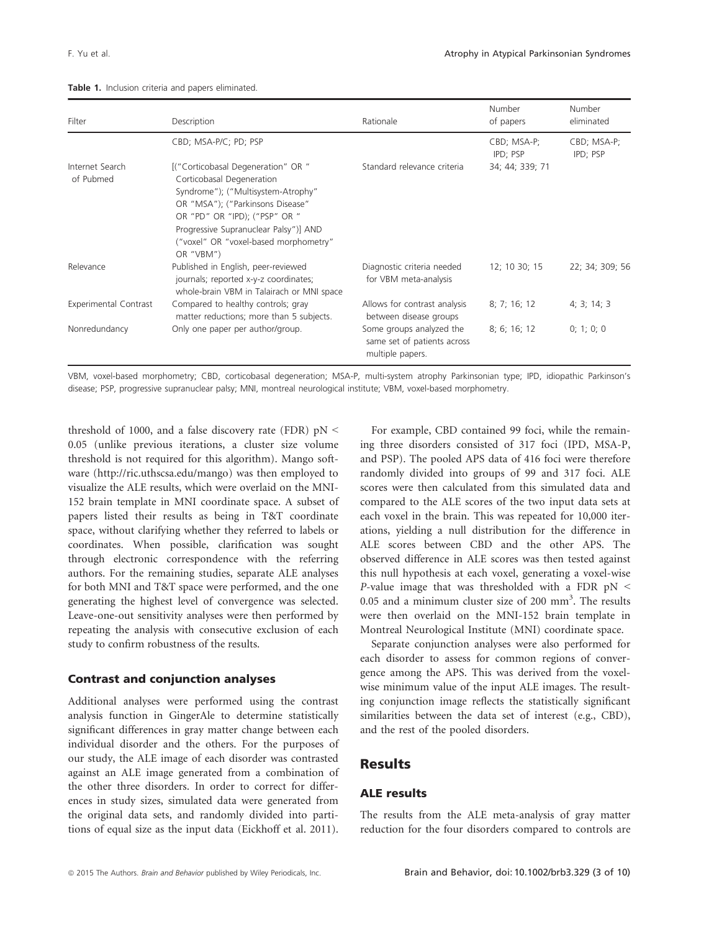| Filter                       | Description                                                                                                                                                                                                                                                               | Rationale                                                                   | Number<br>of papers     | <b>Number</b><br>eliminated |
|------------------------------|---------------------------------------------------------------------------------------------------------------------------------------------------------------------------------------------------------------------------------------------------------------------------|-----------------------------------------------------------------------------|-------------------------|-----------------------------|
|                              | CBD; MSA-P/C; PD; PSP                                                                                                                                                                                                                                                     |                                                                             | CBD; MSA-P;<br>IPD; PSP | CBD; MSA-P;<br>IPD; PSP     |
| Internet Search<br>of Pubmed | [("Corticobasal Degeneration" OR "<br>Corticobasal Degeneration<br>Syndrome"); ("Multisystem-Atrophy"<br>OR "MSA"); ("Parkinsons Disease"<br>OR "PD" OR "IPD); ("PSP" OR "<br>Progressive Supranuclear Palsy")] AND<br>("voxel" OR "voxel-based morphometry"<br>OR "VBM") | Standard relevance criteria                                                 | 34; 44; 339; 71         |                             |
| Relevance                    | Published in English, peer-reviewed<br>journals; reported x-y-z coordinates;<br>whole-brain VBM in Talairach or MNI space                                                                                                                                                 | Diagnostic criteria needed<br>for VBM meta-analysis                         | 12; 10 30; 15           | 22; 34; 309; 56             |
| <b>Experimental Contrast</b> | Compared to healthy controls; gray<br>matter reductions; more than 5 subjects.                                                                                                                                                                                            | Allows for contrast analysis<br>between disease groups                      | 8; 7; 16; 12            | 4; 3; 14; 3                 |
| Nonredundancy                | Only one paper per author/group.                                                                                                                                                                                                                                          | Some groups analyzed the<br>same set of patients across<br>multiple papers. | 8; 6; 16; 12            | 0; 1; 0; 0                  |

#### Table 1. Inclusion criteria and papers eliminated.

VBM, voxel-based morphometry; CBD, corticobasal degeneration; MSA-P, multi-system atrophy Parkinsonian type; IPD, idiopathic Parkinson's disease; PSP, progressive supranuclear palsy; MNI, montreal neurological institute; VBM, voxel-based morphometry.

threshold of 1000, and a false discovery rate (FDR) pN < 0.05 (unlike previous iterations, a cluster size volume threshold is not required for this algorithm). Mango software ([http://ric.uthscsa.edu/mango\)](http://ric.uthscsa.edu/mango) was then employed to visualize the ALE results, which were overlaid on the MNI-152 brain template in MNI coordinate space. A subset of papers listed their results as being in T&T coordinate space, without clarifying whether they referred to labels or coordinates. When possible, clarification was sought through electronic correspondence with the referring authors. For the remaining studies, separate ALE analyses for both MNI and T&T space were performed, and the one generating the highest level of convergence was selected. Leave-one-out sensitivity analyses were then performed by repeating the analysis with consecutive exclusion of each study to confirm robustness of the results.

## Contrast and conjunction analyses

Additional analyses were performed using the contrast analysis function in GingerAle to determine statistically significant differences in gray matter change between each individual disorder and the others. For the purposes of our study, the ALE image of each disorder was contrasted against an ALE image generated from a combination of the other three disorders. In order to correct for differences in study sizes, simulated data were generated from the original data sets, and randomly divided into partitions of equal size as the input data (Eickhoff et al. 2011).

For example, CBD contained 99 foci, while the remaining three disorders consisted of 317 foci (IPD, MSA-P, and PSP). The pooled APS data of 416 foci were therefore randomly divided into groups of 99 and 317 foci. ALE scores were then calculated from this simulated data and compared to the ALE scores of the two input data sets at each voxel in the brain. This was repeated for 10,000 iterations, yielding a null distribution for the difference in ALE scores between CBD and the other APS. The observed difference in ALE scores was then tested against this null hypothesis at each voxel, generating a voxel-wise P-value image that was thresholded with a FDR  $pN <$  $0.05$  and a minimum cluster size of 200 mm<sup>3</sup>. The results were then overlaid on the MNI-152 brain template in Montreal Neurological Institute (MNI) coordinate space.

Separate conjunction analyses were also performed for each disorder to assess for common regions of convergence among the APS. This was derived from the voxelwise minimum value of the input ALE images. The resulting conjunction image reflects the statistically significant similarities between the data set of interest (e.g., CBD), and the rest of the pooled disorders.

## Results

## ALE results

The results from the ALE meta-analysis of gray matter reduction for the four disorders compared to controls are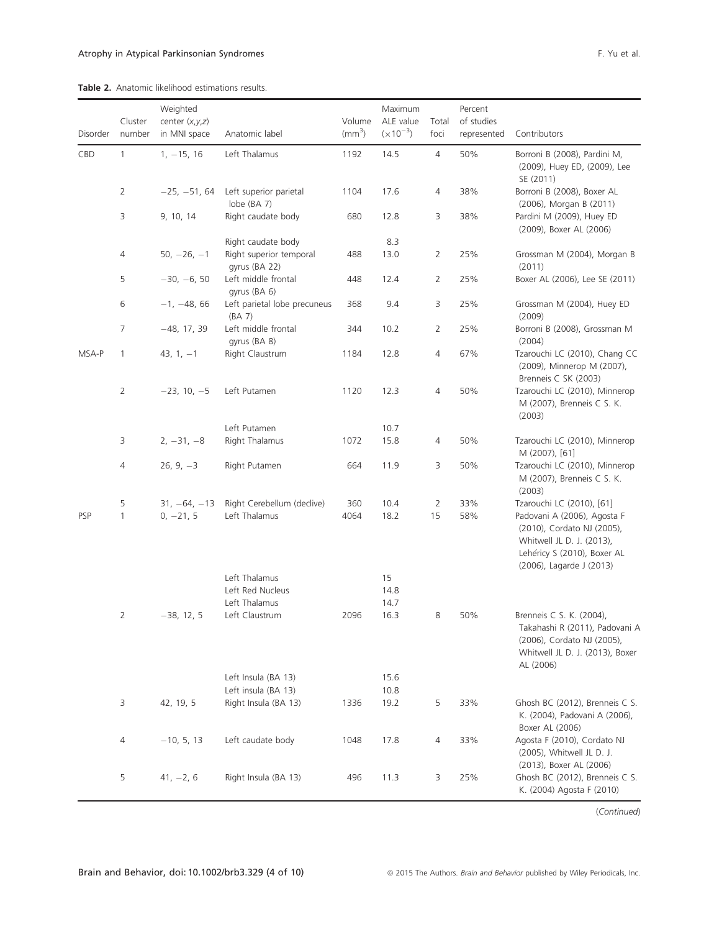#### Table 2. Anatomic likelihood estimations results.

|          |                | Weighted         |                                                                |              | Maximum       |                | Percent     |                                                                                                                                                   |
|----------|----------------|------------------|----------------------------------------------------------------|--------------|---------------|----------------|-------------|---------------------------------------------------------------------------------------------------------------------------------------------------|
|          | Cluster        | center $(x,y,z)$ |                                                                | Volume       | ALE value     | Total          | of studies  |                                                                                                                                                   |
| Disorder | number         | in MNI space     | Anatomic label                                                 | $\text{m}^3$ | $(x 10^{-3})$ | foci           | represented | Contributors                                                                                                                                      |
| CBD      | $\mathbf{1}$   | $1, -15, 16$     | Left Thalamus                                                  | 1192         | 14.5          | $\overline{4}$ | 50%         | Borroni B (2008), Pardini M,<br>(2009), Huey ED, (2009), Lee<br>SE (2011)                                                                         |
|          | $\overline{2}$ | $-25, -51, 64$   | Left superior parietal<br>lobe (BA 7)                          | 1104         | 17.6          | 4              | 38%         | Borroni B (2008), Boxer AL<br>(2006), Morgan B (2011)                                                                                             |
|          | 3              | 9, 10, 14        | Right caudate body                                             | 680          | 12.8<br>8.3   | 3              | 38%         | Pardini M (2009), Huey ED<br>(2009), Boxer AL (2006)                                                                                              |
|          | 4              | $50, -26, -1$    | Right caudate body<br>Right superior temporal<br>gyrus (BA 22) | 488          | 13.0          | $\overline{2}$ | 25%         | Grossman M (2004), Morgan B<br>(2011)                                                                                                             |
|          | 5              | $-30, -6, 50$    | Left middle frontal<br>qyrus (BA 6)                            | 448          | 12.4          | $\overline{2}$ | 25%         | Boxer AL (2006), Lee SE (2011)                                                                                                                    |
|          | 6              | $-1, -48, 66$    | Left parietal lobe precuneus<br>(BA 7)                         | 368          | 9.4           | 3              | 25%         | Grossman M (2004), Huey ED<br>(2009)                                                                                                              |
|          | 7              | $-48, 17, 39$    | Left middle frontal<br>gyrus (BA 8)                            | 344          | 10.2          | $\overline{2}$ | 25%         | Borroni B (2008), Grossman M<br>(2004)                                                                                                            |
| MSA-P    | $\mathbf{1}$   | 43, $1, -1$      | Right Claustrum                                                | 1184         | 12.8          | 4              | 67%         | Tzarouchi LC (2010), Chang CC<br>(2009), Minnerop M (2007),<br>Brenneis C SK (2003)                                                               |
|          | 2              | $-23, 10, -5$    | Left Putamen                                                   | 1120         | 12.3          | 4              | 50%         | Tzarouchi LC (2010), Minnerop<br>M (2007), Brenneis C S. K.<br>(2003)                                                                             |
|          | 3              | $2, -31, -8$     | Left Putamen<br>Right Thalamus                                 | 1072         | 10.7<br>15.8  | 4              | 50%         | Tzarouchi LC (2010), Minnerop                                                                                                                     |
|          |                |                  |                                                                |              |               |                |             | M (2007), [61]                                                                                                                                    |
|          | 4              | $26, 9, -3$      | Right Putamen                                                  | 664          | 11.9          | 3              | 50%         | Tzarouchi LC (2010), Minnerop<br>M (2007), Brenneis C S. K.<br>(2003)                                                                             |
|          | 5              | $31, -64, -13$   | Right Cerebellum (declive)                                     | 360          | 10.4          | $\overline{2}$ | 33%         | Tzarouchi LC (2010), [61]                                                                                                                         |
| PSP      | $\mathbf{1}$   | $0, -21, 5$      | Left Thalamus                                                  | 4064         | 18.2          | 15             | 58%         | Padovani A (2006), Agosta F<br>(2010), Cordato NJ (2005),<br>Whitwell JL D. J. (2013),<br>Lehéricy S (2010), Boxer AL<br>(2006), Lagarde J (2013) |
|          |                |                  | Left Thalamus                                                  |              | 15            |                |             |                                                                                                                                                   |
|          |                |                  | Left Red Nucleus<br>Left Thalamus                              |              | 14.8<br>14.7  |                |             |                                                                                                                                                   |
|          | $\overline{2}$ | $-38, 12, 5$     | Left Claustrum                                                 | 2096         | 16.3          | 8              | 50%         | Brenneis C S. K. (2004),<br>Takahashi R (2011), Padovani A<br>(2006), Cordato NJ (2005),<br>Whitwell JL D. J. (2013), Boxer<br>AL (2006)          |
|          |                |                  | Left Insula (BA 13)                                            |              | 15.6          |                |             |                                                                                                                                                   |
|          |                |                  | Left insula (BA 13)                                            |              | 10.8          |                |             |                                                                                                                                                   |
|          | 3              | 42, 19, 5        | Right Insula (BA 13)                                           | 1336         | 19.2          | 5              | 33%         | Ghosh BC (2012), Brenneis C S.<br>K. (2004), Padovani A (2006),<br>Boxer AL (2006)                                                                |
|          | 4              | $-10, 5, 13$     | Left caudate body                                              | 1048         | 17.8          | 4              | 33%         | Agosta F (2010), Cordato NJ<br>(2005), Whitwell JL D. J.<br>(2013), Boxer AL (2006)                                                               |
|          | 5              | $41, -2, 6$      | Right Insula (BA 13)                                           | 496          | 11.3          | 3              | 25%         | Ghosh BC (2012), Brenneis C S.<br>K. (2004) Agosta F (2010)                                                                                       |

(Continued)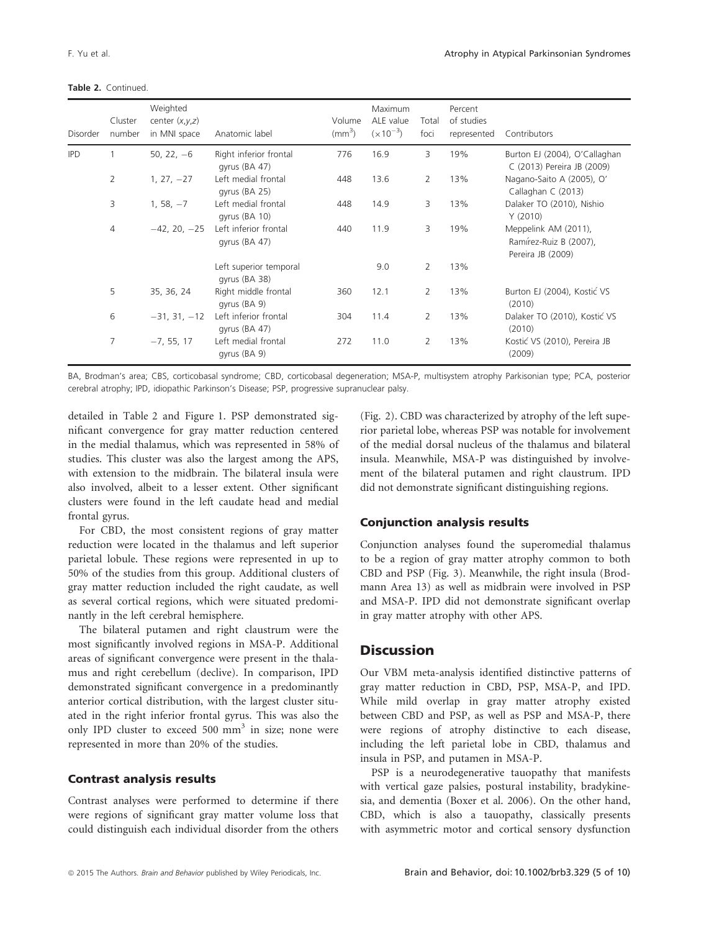| Disorder   | Cluster<br>number | Weighted<br>center $(x,y,z)$<br>in MNI space | Anatomic label                          | Volume<br>$\rm (mm^3)$ | <b>Maximum</b><br>ALE value<br>$(x10^{-3})$ | Total<br>foci  | Percent<br>of studies<br>represented | Contributors                                                        |
|------------|-------------------|----------------------------------------------|-----------------------------------------|------------------------|---------------------------------------------|----------------|--------------------------------------|---------------------------------------------------------------------|
| <b>IPD</b> |                   | 50, 22, $-6$                                 | Right inferior frontal<br>gyrus (BA 47) | 776                    | 16.9                                        | 3              | 19%                                  | Burton EJ (2004), O'Callaghan<br>C (2013) Pereira JB (2009)         |
|            | 2                 | $1, 27, -27$                                 | Left medial frontal<br>gyrus (BA 25)    | 448                    | 13.6                                        | 2              | 13%                                  | Nagano-Saito A (2005), O'<br>Callaghan C (2013)                     |
|            | 3                 | $1, 58, -7$                                  | Left medial frontal<br>gyrus (BA 10)    | 448                    | 14.9                                        | 3              | 13%                                  | Dalaker TO (2010), Nishio<br>Y(2010)                                |
|            | 4                 | $-42, 20, -25$                               | Left inferior frontal<br>gyrus (BA 47)  | 440                    | 11.9                                        | 3              | 19%                                  | Meppelink AM (2011),<br>Ramírez-Ruiz B (2007),<br>Pereira JB (2009) |
|            |                   |                                              | Left superior temporal<br>gyrus (BA 38) |                        | 9.0                                         | $\overline{2}$ | 13%                                  |                                                                     |
|            | 5                 | 35, 36, 24                                   | Right middle frontal<br>gyrus (BA 9)    | 360                    | 12.1                                        | $\overline{2}$ | 13%                                  | Burton EJ (2004), Kostić VS<br>(2010)                               |
|            | 6                 | $-31, 31, -12$                               | Left inferior frontal<br>gyrus (BA 47)  | 304                    | 11.4                                        | $\overline{2}$ | 13%                                  | Dalaker TO (2010), Kostić VS<br>(2010)                              |
|            | 7                 | $-7, 55, 17$                                 | Left medial frontal<br>gyrus (BA 9)     | 272                    | 11.0                                        | $\overline{2}$ | 13%                                  | Kostić VS (2010), Pereira JB<br>(2009)                              |

BA, Brodman's area; CBS, corticobasal syndrome; CBD, corticobasal degeneration; MSA-P, multisystem atrophy Parkisonian type; PCA, posterior cerebral atrophy; IPD, idiopathic Parkinson's Disease; PSP, progressive supranuclear palsy.

detailed in Table 2 and Figure 1. PSP demonstrated significant convergence for gray matter reduction centered in the medial thalamus, which was represented in 58% of studies. This cluster was also the largest among the APS, with extension to the midbrain. The bilateral insula were also involved, albeit to a lesser extent. Other significant clusters were found in the left caudate head and medial frontal gyrus.

For CBD, the most consistent regions of gray matter reduction were located in the thalamus and left superior parietal lobule. These regions were represented in up to 50% of the studies from this group. Additional clusters of gray matter reduction included the right caudate, as well as several cortical regions, which were situated predominantly in the left cerebral hemisphere.

The bilateral putamen and right claustrum were the most significantly involved regions in MSA-P. Additional areas of significant convergence were present in the thalamus and right cerebellum (declive). In comparison, IPD demonstrated significant convergence in a predominantly anterior cortical distribution, with the largest cluster situated in the right inferior frontal gyrus. This was also the only IPD cluster to exceed 500  $mm<sup>3</sup>$  in size; none were represented in more than 20% of the studies.

## Contrast analysis results

Contrast analyses were performed to determine if there were regions of significant gray matter volume loss that could distinguish each individual disorder from the others (Fig. 2). CBD was characterized by atrophy of the left superior parietal lobe, whereas PSP was notable for involvement of the medial dorsal nucleus of the thalamus and bilateral insula. Meanwhile, MSA-P was distinguished by involvement of the bilateral putamen and right claustrum. IPD did not demonstrate significant distinguishing regions.

## Conjunction analysis results

Conjunction analyses found the superomedial thalamus to be a region of gray matter atrophy common to both CBD and PSP (Fig. 3). Meanwhile, the right insula (Brodmann Area 13) as well as midbrain were involved in PSP and MSA-P. IPD did not demonstrate significant overlap in gray matter atrophy with other APS.

## **Discussion**

Our VBM meta-analysis identified distinctive patterns of gray matter reduction in CBD, PSP, MSA-P, and IPD. While mild overlap in gray matter atrophy existed between CBD and PSP, as well as PSP and MSA-P, there were regions of atrophy distinctive to each disease, including the left parietal lobe in CBD, thalamus and insula in PSP, and putamen in MSA-P.

PSP is a neurodegenerative tauopathy that manifests with vertical gaze palsies, postural instability, bradykinesia, and dementia (Boxer et al. 2006). On the other hand, CBD, which is also a tauopathy, classically presents with asymmetric motor and cortical sensory dysfunction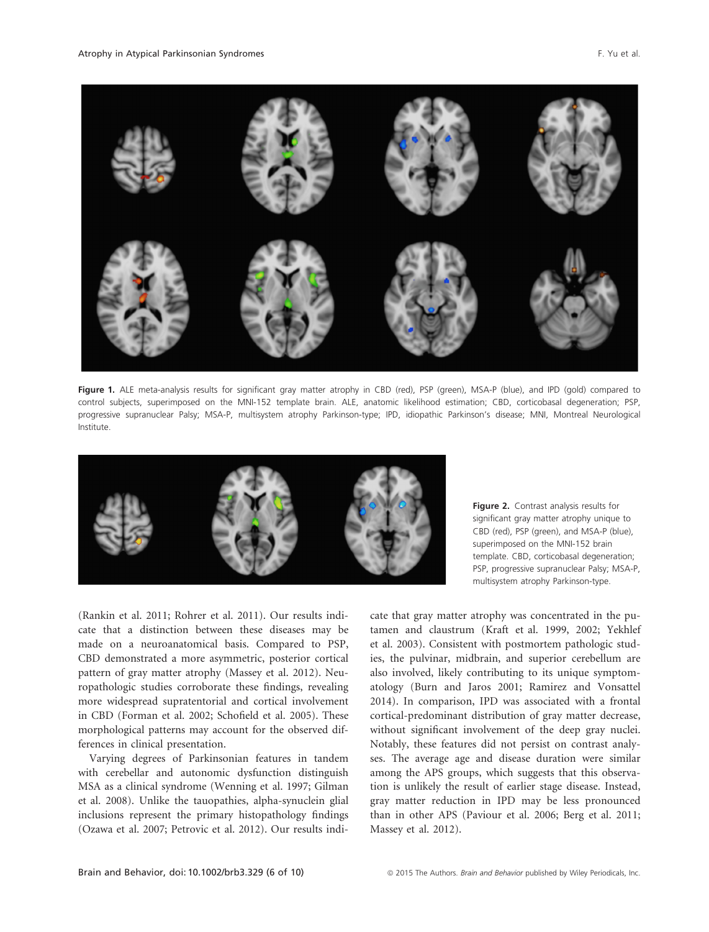

Figure 1. ALE meta-analysis results for significant gray matter atrophy in CBD (red), PSP (green), MSA-P (blue), and IPD (gold) compared to control subjects, superimposed on the MNI-152 template brain. ALE, anatomic likelihood estimation; CBD, corticobasal degeneration; PSP, progressive supranuclear Palsy; MSA-P, multisystem atrophy Parkinson-type; IPD, idiopathic Parkinson's disease; MNI, Montreal Neurological Institute.



Figure 2. Contrast analysis results for significant gray matter atrophy unique to CBD (red), PSP (green), and MSA-P (blue), superimposed on the MNI-152 brain template. CBD, corticobasal degeneration; PSP, progressive supranuclear Palsy; MSA-P, multisystem atrophy Parkinson-type.

(Rankin et al. 2011; Rohrer et al. 2011). Our results indicate that a distinction between these diseases may be made on a neuroanatomical basis. Compared to PSP, CBD demonstrated a more asymmetric, posterior cortical pattern of gray matter atrophy (Massey et al. 2012). Neuropathologic studies corroborate these findings, revealing more widespread supratentorial and cortical involvement in CBD (Forman et al. 2002; Schofield et al. 2005). These morphological patterns may account for the observed differences in clinical presentation.

Varying degrees of Parkinsonian features in tandem with cerebellar and autonomic dysfunction distinguish MSA as a clinical syndrome (Wenning et al. 1997; Gilman et al. 2008). Unlike the tauopathies, alpha-synuclein glial inclusions represent the primary histopathology findings (Ozawa et al. 2007; Petrovic et al. 2012). Our results indi-

cate that gray matter atrophy was concentrated in the putamen and claustrum (Kraft et al. 1999, 2002; Yekhlef et al. 2003). Consistent with postmortem pathologic studies, the pulvinar, midbrain, and superior cerebellum are also involved, likely contributing to its unique symptomatology (Burn and Jaros 2001; Ramirez and Vonsattel 2014). In comparison, IPD was associated with a frontal cortical-predominant distribution of gray matter decrease, without significant involvement of the deep gray nuclei. Notably, these features did not persist on contrast analyses. The average age and disease duration were similar among the APS groups, which suggests that this observation is unlikely the result of earlier stage disease. Instead, gray matter reduction in IPD may be less pronounced than in other APS (Paviour et al. 2006; Berg et al. 2011; Massey et al. 2012).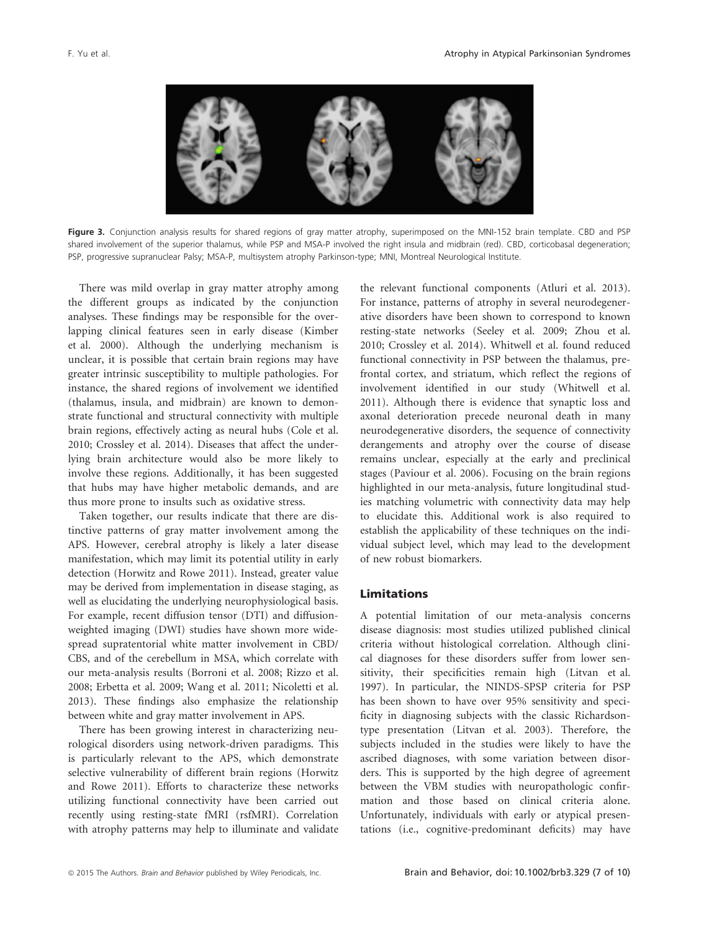

Figure 3. Conjunction analysis results for shared regions of gray matter atrophy, superimposed on the MNI-152 brain template. CBD and PSP shared involvement of the superior thalamus, while PSP and MSA-P involved the right insula and midbrain (red). CBD, corticobasal degeneration; PSP, progressive supranuclear Palsy; MSA-P, multisystem atrophy Parkinson-type; MNI, Montreal Neurological Institute.

There was mild overlap in gray matter atrophy among the different groups as indicated by the conjunction analyses. These findings may be responsible for the overlapping clinical features seen in early disease (Kimber et al. 2000). Although the underlying mechanism is unclear, it is possible that certain brain regions may have greater intrinsic susceptibility to multiple pathologies. For instance, the shared regions of involvement we identified (thalamus, insula, and midbrain) are known to demonstrate functional and structural connectivity with multiple brain regions, effectively acting as neural hubs (Cole et al. 2010; Crossley et al. 2014). Diseases that affect the underlying brain architecture would also be more likely to involve these regions. Additionally, it has been suggested that hubs may have higher metabolic demands, and are thus more prone to insults such as oxidative stress.

Taken together, our results indicate that there are distinctive patterns of gray matter involvement among the APS. However, cerebral atrophy is likely a later disease manifestation, which may limit its potential utility in early detection (Horwitz and Rowe 2011). Instead, greater value may be derived from implementation in disease staging, as well as elucidating the underlying neurophysiological basis. For example, recent diffusion tensor (DTI) and diffusionweighted imaging (DWI) studies have shown more widespread supratentorial white matter involvement in CBD/ CBS, and of the cerebellum in MSA, which correlate with our meta-analysis results (Borroni et al. 2008; Rizzo et al. 2008; Erbetta et al. 2009; Wang et al. 2011; Nicoletti et al. 2013). These findings also emphasize the relationship between white and gray matter involvement in APS.

There has been growing interest in characterizing neurological disorders using network-driven paradigms. This is particularly relevant to the APS, which demonstrate selective vulnerability of different brain regions (Horwitz and Rowe 2011). Efforts to characterize these networks utilizing functional connectivity have been carried out recently using resting-state fMRI (rsfMRI). Correlation with atrophy patterns may help to illuminate and validate the relevant functional components (Atluri et al. 2013). For instance, patterns of atrophy in several neurodegenerative disorders have been shown to correspond to known resting-state networks (Seeley et al. 2009; Zhou et al. 2010; Crossley et al. 2014). Whitwell et al. found reduced functional connectivity in PSP between the thalamus, prefrontal cortex, and striatum, which reflect the regions of involvement identified in our study (Whitwell et al. 2011). Although there is evidence that synaptic loss and axonal deterioration precede neuronal death in many neurodegenerative disorders, the sequence of connectivity derangements and atrophy over the course of disease remains unclear, especially at the early and preclinical stages (Paviour et al. 2006). Focusing on the brain regions highlighted in our meta-analysis, future longitudinal studies matching volumetric with connectivity data may help to elucidate this. Additional work is also required to establish the applicability of these techniques on the individual subject level, which may lead to the development of new robust biomarkers.

## Limitations

A potential limitation of our meta-analysis concerns disease diagnosis: most studies utilized published clinical criteria without histological correlation. Although clinical diagnoses for these disorders suffer from lower sensitivity, their specificities remain high (Litvan et al. 1997). In particular, the NINDS-SPSP criteria for PSP has been shown to have over 95% sensitivity and specificity in diagnosing subjects with the classic Richardsontype presentation (Litvan et al. 2003). Therefore, the subjects included in the studies were likely to have the ascribed diagnoses, with some variation between disorders. This is supported by the high degree of agreement between the VBM studies with neuropathologic confirmation and those based on clinical criteria alone. Unfortunately, individuals with early or atypical presentations (i.e., cognitive-predominant deficits) may have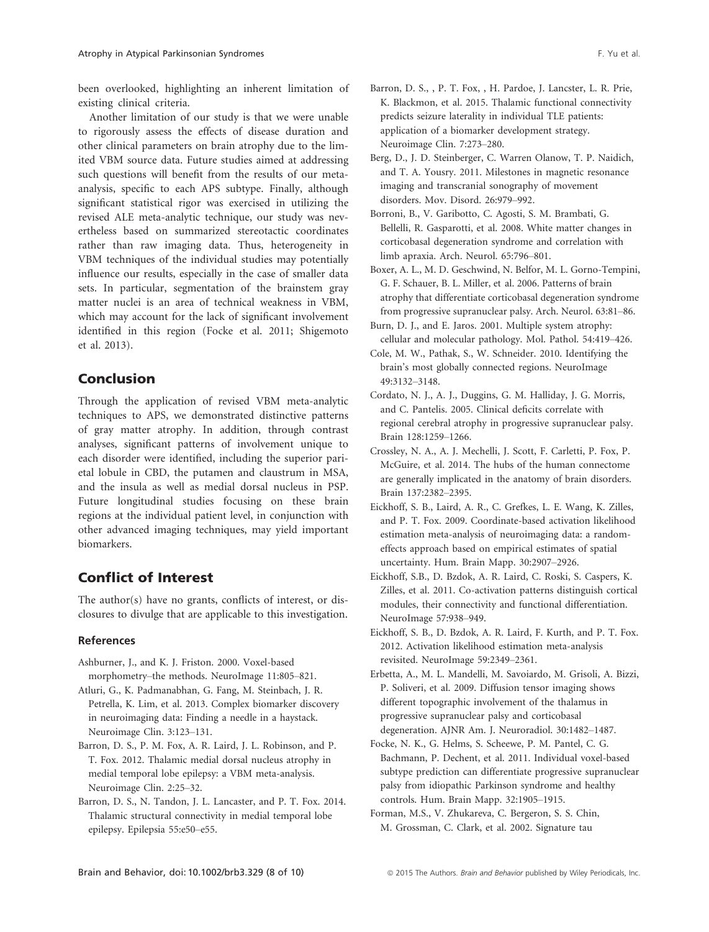been overlooked, highlighting an inherent limitation of existing clinical criteria.

Another limitation of our study is that we were unable to rigorously assess the effects of disease duration and other clinical parameters on brain atrophy due to the limited VBM source data. Future studies aimed at addressing such questions will benefit from the results of our metaanalysis, specific to each APS subtype. Finally, although significant statistical rigor was exercised in utilizing the revised ALE meta-analytic technique, our study was nevertheless based on summarized stereotactic coordinates rather than raw imaging data. Thus, heterogeneity in VBM techniques of the individual studies may potentially influence our results, especially in the case of smaller data sets. In particular, segmentation of the brainstem gray matter nuclei is an area of technical weakness in VBM, which may account for the lack of significant involvement identified in this region (Focke et al. 2011; Shigemoto et al. 2013).

## Conclusion

Through the application of revised VBM meta-analytic techniques to APS, we demonstrated distinctive patterns of gray matter atrophy. In addition, through contrast analyses, significant patterns of involvement unique to each disorder were identified, including the superior parietal lobule in CBD, the putamen and claustrum in MSA, and the insula as well as medial dorsal nucleus in PSP. Future longitudinal studies focusing on these brain regions at the individual patient level, in conjunction with other advanced imaging techniques, may yield important biomarkers.

## Conflict of Interest

The author(s) have no grants, conflicts of interest, or disclosures to divulge that are applicable to this investigation.

## References

- Ashburner, J., and K. J. Friston. 2000. Voxel-based morphometry–the methods. NeuroImage 11:805–821.
- Atluri, G., K. Padmanabhan, G. Fang, M. Steinbach, J. R. Petrella, K. Lim, et al. 2013. Complex biomarker discovery in neuroimaging data: Finding a needle in a haystack. Neuroimage Clin. 3:123–131.
- Barron, D. S., P. M. Fox, A. R. Laird, J. L. Robinson, and P. T. Fox. 2012. Thalamic medial dorsal nucleus atrophy in medial temporal lobe epilepsy: a VBM meta-analysis. Neuroimage Clin. 2:25–32.
- Barron, D. S., N. Tandon, J. L. Lancaster, and P. T. Fox. 2014. Thalamic structural connectivity in medial temporal lobe epilepsy. Epilepsia 55:e50–e55.
- Barron, D. S., , P. T. Fox, , H. Pardoe, J. Lancster, L. R. Prie, K. Blackmon, et al. 2015. Thalamic functional connectivity predicts seizure laterality in individual TLE patients: application of a biomarker development strategy. Neuroimage Clin. 7:273–280.
- Berg, D., J. D. Steinberger, C. Warren Olanow, T. P. Naidich, and T. A. Yousry. 2011. Milestones in magnetic resonance imaging and transcranial sonography of movement disorders. Mov. Disord. 26:979–992.
- Borroni, B., V. Garibotto, C. Agosti, S. M. Brambati, G. Bellelli, R. Gasparotti, et al. 2008. White matter changes in corticobasal degeneration syndrome and correlation with limb apraxia. Arch. Neurol. 65:796–801.
- Boxer, A. L., M. D. Geschwind, N. Belfor, M. L. Gorno-Tempini, G. F. Schauer, B. L. Miller, et al. 2006. Patterns of brain atrophy that differentiate corticobasal degeneration syndrome from progressive supranuclear palsy. Arch. Neurol. 63:81–86.
- Burn, D. J., and E. Jaros. 2001. Multiple system atrophy: cellular and molecular pathology. Mol. Pathol. 54:419–426.
- Cole, M. W., Pathak, S., W. Schneider. 2010. Identifying the brain's most globally connected regions. NeuroImage 49:3132–3148.
- Cordato, N. J., A. J., Duggins, G. M. Halliday, J. G. Morris, and C. Pantelis. 2005. Clinical deficits correlate with regional cerebral atrophy in progressive supranuclear palsy. Brain 128:1259–1266.
- Crossley, N. A., A. J. Mechelli, J. Scott, F. Carletti, P. Fox, P. McGuire, et al. 2014. The hubs of the human connectome are generally implicated in the anatomy of brain disorders. Brain 137:2382–2395.
- Eickhoff, S. B., Laird, A. R., C. Grefkes, L. E. Wang, K. Zilles, and P. T. Fox. 2009. Coordinate-based activation likelihood estimation meta-analysis of neuroimaging data: a randomeffects approach based on empirical estimates of spatial uncertainty. Hum. Brain Mapp. 30:2907–2926.
- Eickhoff, S.B., D. Bzdok, A. R. Laird, C. Roski, S. Caspers, K. Zilles, et al. 2011. Co-activation patterns distinguish cortical modules, their connectivity and functional differentiation. NeuroImage 57:938–949.
- Eickhoff, S. B., D. Bzdok, A. R. Laird, F. Kurth, and P. T. Fox. 2012. Activation likelihood estimation meta-analysis revisited. NeuroImage 59:2349–2361.
- Erbetta, A., M. L. Mandelli, M. Savoiardo, M. Grisoli, A. Bizzi, P. Soliveri, et al. 2009. Diffusion tensor imaging shows different topographic involvement of the thalamus in progressive supranuclear palsy and corticobasal degeneration. AJNR Am. J. Neuroradiol. 30:1482–1487.
- Focke, N. K., G. Helms, S. Scheewe, P. M. Pantel, C. G. Bachmann, P. Dechent, et al. 2011. Individual voxel-based subtype prediction can differentiate progressive supranuclear palsy from idiopathic Parkinson syndrome and healthy controls. Hum. Brain Mapp. 32:1905–1915.
- Forman, M.S., V. Zhukareva, C. Bergeron, S. S. Chin, M. Grossman, C. Clark, et al. 2002. Signature tau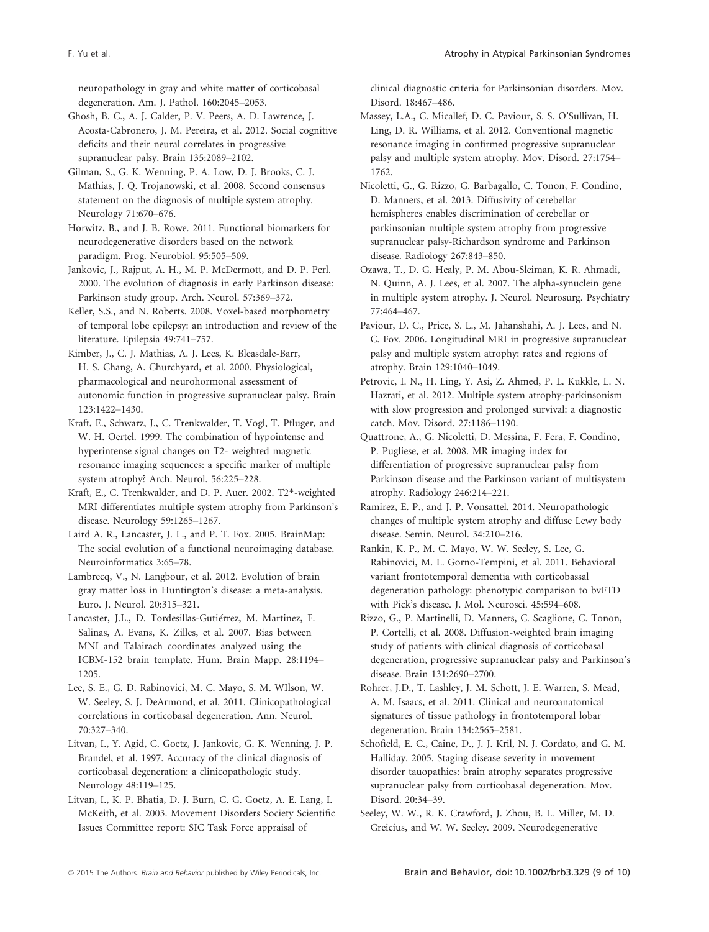neuropathology in gray and white matter of corticobasal degeneration. Am. J. Pathol. 160:2045–2053.

Ghosh, B. C., A. J. Calder, P. V. Peers, A. D. Lawrence, J. Acosta-Cabronero, J. M. Pereira, et al. 2012. Social cognitive deficits and their neural correlates in progressive supranuclear palsy. Brain 135:2089–2102.

Gilman, S., G. K. Wenning, P. A. Low, D. J. Brooks, C. J. Mathias, J. Q. Trojanowski, et al. 2008. Second consensus statement on the diagnosis of multiple system atrophy. Neurology 71:670–676.

Horwitz, B., and J. B. Rowe. 2011. Functional biomarkers for neurodegenerative disorders based on the network paradigm. Prog. Neurobiol. 95:505–509.

Jankovic, J., Rajput, A. H., M. P. McDermott, and D. P. Perl. 2000. The evolution of diagnosis in early Parkinson disease: Parkinson study group. Arch. Neurol. 57:369–372.

Keller, S.S., and N. Roberts. 2008. Voxel-based morphometry of temporal lobe epilepsy: an introduction and review of the literature. Epilepsia 49:741–757.

Kimber, J., C. J. Mathias, A. J. Lees, K. Bleasdale-Barr, H. S. Chang, A. Churchyard, et al. 2000. Physiological, pharmacological and neurohormonal assessment of autonomic function in progressive supranuclear palsy. Brain 123:1422–1430.

Kraft, E., Schwarz, J., C. Trenkwalder, T. Vogl, T. Pfluger, and W. H. Oertel. 1999. The combination of hypointense and hyperintense signal changes on T2- weighted magnetic resonance imaging sequences: a specific marker of multiple system atrophy? Arch. Neurol. 56:225–228.

Kraft, E., C. Trenkwalder, and D. P. Auer. 2002. T2\*-weighted MRI differentiates multiple system atrophy from Parkinson's disease. Neurology 59:1265–1267.

Laird A. R., Lancaster, J. L., and P. T. Fox. 2005. BrainMap: The social evolution of a functional neuroimaging database. Neuroinformatics 3:65–78.

Lambrecq, V., N. Langbour, et al. 2012. Evolution of brain gray matter loss in Huntington's disease: a meta-analysis. Euro. J. Neurol. 20:315–321.

Lancaster, J.L., D. Tordesillas-Gutiérrez, M. Martinez, F. Salinas, A. Evans, K. Zilles, et al. 2007. Bias between MNI and Talairach coordinates analyzed using the ICBM-152 brain template. Hum. Brain Mapp. 28:1194– 1205.

Lee, S. E., G. D. Rabinovici, M. C. Mayo, S. M. WIlson, W. W. Seeley, S. J. DeArmond, et al. 2011. Clinicopathological correlations in corticobasal degeneration. Ann. Neurol. 70:327–340.

Litvan, I., Y. Agid, C. Goetz, J. Jankovic, G. K. Wenning, J. P. Brandel, et al. 1997. Accuracy of the clinical diagnosis of corticobasal degeneration: a clinicopathologic study. Neurology 48:119–125.

Litvan, I., K. P. Bhatia, D. J. Burn, C. G. Goetz, A. E. Lang, I. McKeith, et al. 2003. Movement Disorders Society Scientific Issues Committee report: SIC Task Force appraisal of

clinical diagnostic criteria for Parkinsonian disorders. Mov. Disord. 18:467–486.

Massey, L.A., C. Micallef, D. C. Paviour, S. S. O'Sullivan, H. Ling, D. R. Williams, et al. 2012. Conventional magnetic resonance imaging in confirmed progressive supranuclear palsy and multiple system atrophy. Mov. Disord. 27:1754– 1762.

Nicoletti, G., G. Rizzo, G. Barbagallo, C. Tonon, F. Condino, D. Manners, et al. 2013. Diffusivity of cerebellar hemispheres enables discrimination of cerebellar or parkinsonian multiple system atrophy from progressive supranuclear palsy-Richardson syndrome and Parkinson disease. Radiology 267:843–850.

Ozawa, T., D. G. Healy, P. M. Abou-Sleiman, K. R. Ahmadi, N. Quinn, A. J. Lees, et al. 2007. The alpha-synuclein gene in multiple system atrophy. J. Neurol. Neurosurg. Psychiatry 77:464–467.

Paviour, D. C., Price, S. L., M. Jahanshahi, A. J. Lees, and N. C. Fox. 2006. Longitudinal MRI in progressive supranuclear palsy and multiple system atrophy: rates and regions of atrophy. Brain 129:1040–1049.

Petrovic, I. N., H. Ling, Y. Asi, Z. Ahmed, P. L. Kukkle, L. N. Hazrati, et al. 2012. Multiple system atrophy-parkinsonism with slow progression and prolonged survival: a diagnostic catch. Mov. Disord. 27:1186–1190.

Quattrone, A., G. Nicoletti, D. Messina, F. Fera, F. Condino, P. Pugliese, et al. 2008. MR imaging index for differentiation of progressive supranuclear palsy from Parkinson disease and the Parkinson variant of multisystem atrophy. Radiology 246:214–221.

Ramirez, E. P., and J. P. Vonsattel. 2014. Neuropathologic changes of multiple system atrophy and diffuse Lewy body disease. Semin. Neurol. 34:210–216.

Rankin, K. P., M. C. Mayo, W. W. Seeley, S. Lee, G. Rabinovici, M. L. Gorno-Tempini, et al. 2011. Behavioral variant frontotemporal dementia with corticobassal degeneration pathology: phenotypic comparison to bvFTD with Pick's disease. J. Mol. Neurosci. 45:594–608.

Rizzo, G., P. Martinelli, D. Manners, C. Scaglione, C. Tonon, P. Cortelli, et al. 2008. Diffusion-weighted brain imaging study of patients with clinical diagnosis of corticobasal degeneration, progressive supranuclear palsy and Parkinson's disease. Brain 131:2690–2700.

Rohrer, J.D., T. Lashley, J. M. Schott, J. E. Warren, S. Mead, A. M. Isaacs, et al. 2011. Clinical and neuroanatomical signatures of tissue pathology in frontotemporal lobar degeneration. Brain 134:2565–2581.

Schofield, E. C., Caine, D., J. J. Kril, N. J. Cordato, and G. M. Halliday. 2005. Staging disease severity in movement disorder tauopathies: brain atrophy separates progressive supranuclear palsy from corticobasal degeneration. Mov. Disord. 20:34–39.

Seeley, W. W., R. K. Crawford, J. Zhou, B. L. Miller, M. D. Greicius, and W. W. Seeley. 2009. Neurodegenerative